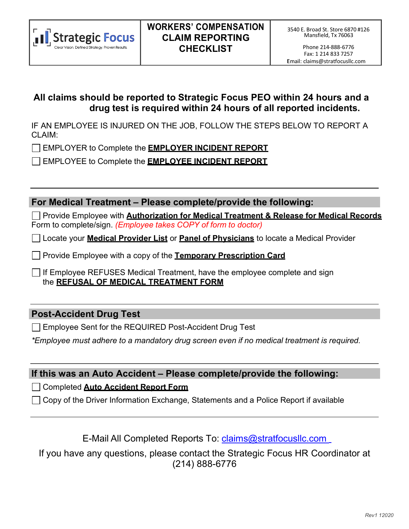

Phone 214-888-6776 Fax: 1 214 833 7257 :Email: [claims@stratfocusllc.com](mailto:wc@engagepeo.com)

### **All claims should be reported to Strategic Focus PEO within 24 hours and a drug testis required within 24 hours of all reported incidents.**

IF AN EMPLOYEE IS INJURED ON THE JOB, FOLLOW THE STEPS BELOW TO REPORT A CLAIM:

EMPLOYER to Complete the **EMPLOYER INCIDENT REPORT**

EMPLOYEE to Complete the **EMPLOYEE INCIDENT REPORT**

**For Medical Treatment – Please complete/provide the following:**

Provide Employee with **Authorization for Medical Treatment & Release for Medical Records** Form to complete/sign. *(Employee takes COPY of form to doctor)*

Locate your **Medical Provider List** or **Panel of Physicians** to locate a Medical Provider

Provide Employee with a copy of the **Temporary Prescription Card**

If Employee REFUSES Medical Treatment, have the employee complete and sign the **REFUSAL OF MEDICAL TREATMENT FORM**

### **Post-Accident Drug Test**

Employee Sent for the REQUIRED Post-Accident Drug Test

*\*Employee must adhere to a mandatory drug screen even if no medical treatment is required.*

**If this was an Auto Accident – Please complete/provide the following:**

Completed **Auto Accident Report Form**

Copy of the Driver Information Exchange, Statements and a Police Report if available

## E-Mail All Completed Reports To: [claims@stratfocusllc.com](mailto:claims@stratfocusllc.com)

If you have any questions, please contact the Strategic Focus HR Coordinator at (214) 888-6776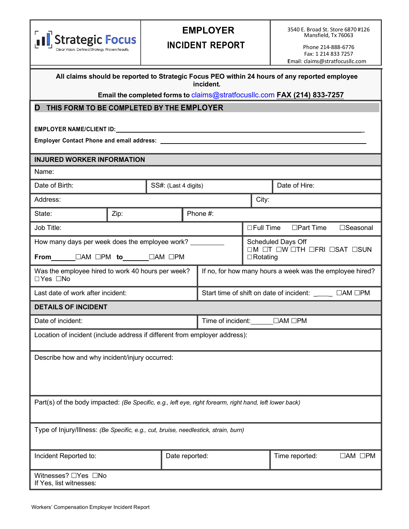|                                                                                                                                                                                                                                |                                                                                                               |                        |                                                       | <b>EMPLOYER</b> |                |                                                                                               | 3540 E. Broad St. Store 6870 #126<br>Mansfield, Tx 76063 |
|--------------------------------------------------------------------------------------------------------------------------------------------------------------------------------------------------------------------------------|---------------------------------------------------------------------------------------------------------------|------------------------|-------------------------------------------------------|-----------------|----------------|-----------------------------------------------------------------------------------------------|----------------------------------------------------------|
| <b>Strategic Focus</b><br>Clear Vision. Defined Strategy. Proven Results.                                                                                                                                                      |                                                                                                               | <b>INCIDENT REPORT</b> |                                                       |                 |                | Phone 214-888-6776                                                                            |                                                          |
|                                                                                                                                                                                                                                |                                                                                                               |                        |                                                       |                 |                | Email: claims@stratfocusllc.com                                                               | Fax: 1 214 833 7257                                      |
|                                                                                                                                                                                                                                |                                                                                                               |                        |                                                       |                 |                |                                                                                               |                                                          |
|                                                                                                                                                                                                                                |                                                                                                               |                        |                                                       | incident.       |                | All claims should be reported to Strategic Focus PEO within 24 hours of any reported employee |                                                          |
|                                                                                                                                                                                                                                |                                                                                                               |                        |                                                       |                 |                | Email the completed forms to claims@stratfocusllc.com FAX (214) 833-7257                      |                                                          |
| THIS FORM TO BE COMPLETED BY THE EMPLOYER<br>D                                                                                                                                                                                 |                                                                                                               |                        |                                                       |                 |                |                                                                                               |                                                          |
| EMPLOYER NAME/CLIENT ID: University of the contract of the contract of the contract of the contract of the contract of the contract of the contract of the contract of the contract of the contract of the contract of the con |                                                                                                               |                        |                                                       |                 |                |                                                                                               |                                                          |
|                                                                                                                                                                                                                                |                                                                                                               |                        |                                                       |                 |                |                                                                                               |                                                          |
|                                                                                                                                                                                                                                |                                                                                                               |                        |                                                       |                 |                |                                                                                               |                                                          |
| <b>INJURED WORKER INFORMATION</b>                                                                                                                                                                                              |                                                                                                               |                        |                                                       |                 |                |                                                                                               |                                                          |
| Name:                                                                                                                                                                                                                          |                                                                                                               |                        |                                                       |                 |                |                                                                                               |                                                          |
| Date of Birth:                                                                                                                                                                                                                 |                                                                                                               |                        | SS#: (Last 4 digits)                                  |                 |                | Date of Hire:                                                                                 |                                                          |
| Address:                                                                                                                                                                                                                       |                                                                                                               |                        | City:                                                 |                 |                |                                                                                               |                                                          |
| Phone #:<br>State:<br>Zip:                                                                                                                                                                                                     |                                                                                                               |                        |                                                       |                 |                |                                                                                               |                                                          |
| Job Title:                                                                                                                                                                                                                     |                                                                                                               |                        |                                                       |                 | □ Full Time    | $\Box$ Part Time                                                                              | □Seasonal                                                |
| How many days per week does the employee work? __________                                                                                                                                                                      |                                                                                                               |                        |                                                       |                 |                | Scheduled Days Off                                                                            |                                                          |
|                                                                                                                                                                                                                                | OM OT OW OTH OFRI OSAT OSUN<br>From UAM OPM to UAM OPM<br>$\Box$ Rotating                                     |                        |                                                       |                 |                |                                                                                               |                                                          |
| □Yes □No                                                                                                                                                                                                                       | Was the employee hired to work 40 hours per week?<br>If no, for how many hours a week was the employee hired? |                        |                                                       |                 |                |                                                                                               |                                                          |
| Last date of work after incident:                                                                                                                                                                                              |                                                                                                               |                        | Start time of shift on date of incident: ____ □AM □PM |                 |                |                                                                                               |                                                          |
| <b>DETAILS OF INCIDENT</b>                                                                                                                                                                                                     |                                                                                                               |                        |                                                       |                 |                |                                                                                               |                                                          |
| Date of incident:<br>Time of incident:<br>$\Box AM \Box PM$                                                                                                                                                                    |                                                                                                               |                        |                                                       |                 |                |                                                                                               |                                                          |
| Location of incident (include address if different from employer address):                                                                                                                                                     |                                                                                                               |                        |                                                       |                 |                |                                                                                               |                                                          |
| Describe how and why incident/injury occurred:                                                                                                                                                                                 |                                                                                                               |                        |                                                       |                 |                |                                                                                               |                                                          |
|                                                                                                                                                                                                                                |                                                                                                               |                        |                                                       |                 |                |                                                                                               |                                                          |
|                                                                                                                                                                                                                                |                                                                                                               |                        |                                                       |                 |                |                                                                                               |                                                          |
|                                                                                                                                                                                                                                |                                                                                                               |                        |                                                       |                 |                |                                                                                               |                                                          |
| Part(s) of the body impacted: (Be Specific, e.g., left eye, right forearm, right hand, left lower back)                                                                                                                        |                                                                                                               |                        |                                                       |                 |                |                                                                                               |                                                          |
| Type of Injury/Illness: (Be Specific, e.g., cut, bruise, needlestick, strain, burn)                                                                                                                                            |                                                                                                               |                        |                                                       |                 |                |                                                                                               |                                                          |
| Incident Reported to:                                                                                                                                                                                                          | Date reported:                                                                                                |                        |                                                       |                 | Time reported: | $\Box AM$ $\Box PM$                                                                           |                                                          |
| Witnesses? □Yes □No<br>If Yes, list witnesses:                                                                                                                                                                                 |                                                                                                               |                        |                                                       |                 |                |                                                                                               |                                                          |

L

ı

I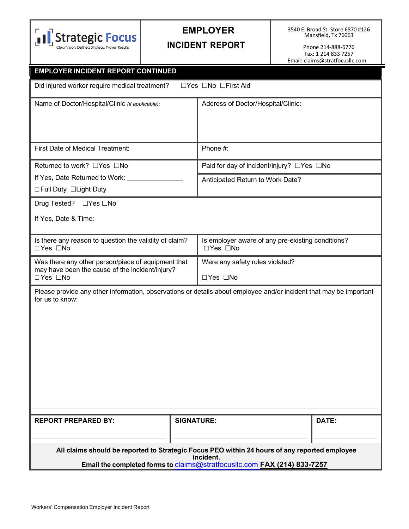

# **EMPLOYER**

## **INCIDENT REPORT**

3540 E. Broad St. Store 6870 #126 Mansfield, Tx 76063

Phone 214-888-6776 Fax: 1 214 833 7257 :Email: [claims@stratfocusllc.com](mailto:wc@engagepeo.com)

| <b>EMPLOYER INCIDENT REPORT CONTINUED</b>                                                                                             |                                                   |                                           |  |  |  |
|---------------------------------------------------------------------------------------------------------------------------------------|---------------------------------------------------|-------------------------------------------|--|--|--|
| Did injured worker require medical treatment?<br>□Yes □No □First Aid                                                                  |                                                   |                                           |  |  |  |
| Name of Doctor/Hospital/Clinic (if applicable):                                                                                       | Address of Doctor/Hospital/Clinic:                |                                           |  |  |  |
|                                                                                                                                       |                                                   |                                           |  |  |  |
| First Date of Medical Treatment:                                                                                                      | Phone #:                                          |                                           |  |  |  |
| Returned to work? □Yes □No                                                                                                            |                                                   | Paid for day of incident/injury? □Yes □No |  |  |  |
| If Yes, Date Returned to Work:<br>□ Full Duty □ Light Duty                                                                            | Anticipated Return to Work Date?                  |                                           |  |  |  |
| Drug Tested? □Yes □No                                                                                                                 |                                                   |                                           |  |  |  |
| If Yes, Date & Time:                                                                                                                  |                                                   |                                           |  |  |  |
| Is there any reason to question the validity of claim?<br>□Yes □No                                                                    | Is employer aware of any pre-existing conditions? |                                           |  |  |  |
| Was there any other person/piece of equipment that<br>may have been the cause of the incident/injury?                                 | Were any safety rules violated?                   |                                           |  |  |  |
| □Yes □No                                                                                                                              | □Yes □No                                          |                                           |  |  |  |
| Please provide any other information, observations or details about employee and/or incident that may be important<br>for us to know: |                                                   |                                           |  |  |  |
| <b>REPORT PREPARED BY:</b>                                                                                                            | <b>SIGNATURE:</b>                                 | DATE:                                     |  |  |  |
|                                                                                                                                       |                                                   |                                           |  |  |  |
| All claims should be reported to Strategic Focus PEO within 24 hours of any reported employee<br>incident.                            |                                                   |                                           |  |  |  |
| Email the completed forms to claims@stratfocuslic.com FAX (214) 833-7257                                                              |                                                   |                                           |  |  |  |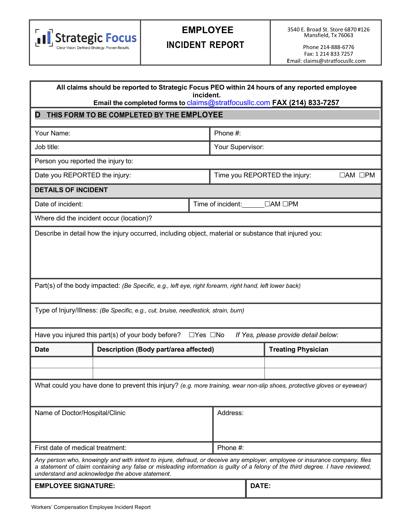

# **EMPLOYEE**

**INCIDENT REPORT**

Phone 214-888-6776 Fax: 1 214 833 7257 :Email: [claims@stratfocusllc.com](mailto:wc@engagepeo.com)

| All claims should be reported to Strategic Focus PEO within 24 hours of any reported employee<br>incident.<br>Email the completed forms to claims@stratfocusllc.com FAX (214) 833-7257 |                                                                                                                                                                                                                                                                                                                   |                      |                   |                           |                                      |                     |  |
|----------------------------------------------------------------------------------------------------------------------------------------------------------------------------------------|-------------------------------------------------------------------------------------------------------------------------------------------------------------------------------------------------------------------------------------------------------------------------------------------------------------------|----------------------|-------------------|---------------------------|--------------------------------------|---------------------|--|
| THIS FORM TO BE COMPLETED BY THE EMPLOYEE<br>D                                                                                                                                         |                                                                                                                                                                                                                                                                                                                   |                      |                   |                           |                                      |                     |  |
| Your Name:                                                                                                                                                                             |                                                                                                                                                                                                                                                                                                                   |                      | Phone #:          |                           |                                      |                     |  |
| Job title:                                                                                                                                                                             |                                                                                                                                                                                                                                                                                                                   |                      | Your Supervisor:  |                           |                                      |                     |  |
| Person you reported the injury to:                                                                                                                                                     |                                                                                                                                                                                                                                                                                                                   |                      |                   |                           |                                      |                     |  |
| Date you REPORTED the injury:                                                                                                                                                          |                                                                                                                                                                                                                                                                                                                   |                      |                   |                           | Time you REPORTED the injury:        | $\Box AM$ $\Box PM$ |  |
| <b>DETAILS OF INCIDENT</b>                                                                                                                                                             |                                                                                                                                                                                                                                                                                                                   |                      |                   |                           |                                      |                     |  |
| Date of incident:                                                                                                                                                                      |                                                                                                                                                                                                                                                                                                                   |                      | Time of incident: |                           | $\Box AM \Box PM$                    |                     |  |
|                                                                                                                                                                                        | Where did the incident occur (location)?                                                                                                                                                                                                                                                                          |                      |                   |                           |                                      |                     |  |
|                                                                                                                                                                                        | Describe in detail how the injury occurred, including object, material or substance that injured you:                                                                                                                                                                                                             |                      |                   |                           |                                      |                     |  |
| Part(s) of the body impacted: (Be Specific, e.g., left eye, right forearm, right hand, left lower back)                                                                                |                                                                                                                                                                                                                                                                                                                   |                      |                   |                           |                                      |                     |  |
|                                                                                                                                                                                        | Type of Injury/Illness: (Be Specific, e.g., cut, bruise, needlestick, strain, burn)                                                                                                                                                                                                                               |                      |                   |                           |                                      |                     |  |
|                                                                                                                                                                                        | Have you injured this part(s) of your body before?                                                                                                                                                                                                                                                                | $\Box$ Yes $\Box$ No |                   |                           | If Yes, please provide detail below: |                     |  |
| <b>Date</b>                                                                                                                                                                            | <b>Description (Body part/area affected)</b>                                                                                                                                                                                                                                                                      |                      |                   | <b>Treating Physician</b> |                                      |                     |  |
|                                                                                                                                                                                        |                                                                                                                                                                                                                                                                                                                   |                      |                   |                           |                                      |                     |  |
| What could you have done to prevent this injury? (e.g. more training, wear non-slip shoes, protective gloves or eyewear)                                                               |                                                                                                                                                                                                                                                                                                                   |                      |                   |                           |                                      |                     |  |
| Name of Doctor/Hospital/Clinic                                                                                                                                                         |                                                                                                                                                                                                                                                                                                                   |                      | Address:          |                           |                                      |                     |  |
|                                                                                                                                                                                        | Phone #:<br>First date of medical treatment:                                                                                                                                                                                                                                                                      |                      |                   |                           |                                      |                     |  |
|                                                                                                                                                                                        | Any person who, knowingly and with intent to injure, defraud, or deceive any employer, employee or insurance company, files<br>a statement of claim containing any false or misleading information is guilty of a felony of the third degree. I have reviewed,<br>understand and acknowledge the above statement. |                      |                   |                           |                                      |                     |  |
| <b>EMPLOYEE SIGNATURE:</b>                                                                                                                                                             |                                                                                                                                                                                                                                                                                                                   |                      |                   | DATE:                     |                                      |                     |  |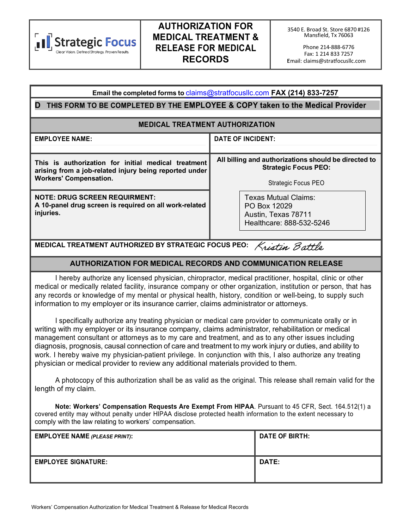

## **AUTHORIZATION FOR MEDICAL TREATMENT & RELEASE FOR MEDICAL RECORDS**

Phone 214-888-6776 Fax: 1 214 833 7257 :Email: [claims@stratfocusllc.com](mailto:wc@engagepeo.com)

| Email the completed forms to claims@stratfocusllc.com FAX (214) 833-7257                                                                       |                                                                                         |  |  |  |  |
|------------------------------------------------------------------------------------------------------------------------------------------------|-----------------------------------------------------------------------------------------|--|--|--|--|
| THIS FORM TO BE COMPLETED BY THE EMPLOYEE & COPY taken to the Medical Provider<br>D                                                            |                                                                                         |  |  |  |  |
| <b>MEDICAL TREATMENT AUTHORIZATION</b>                                                                                                         |                                                                                         |  |  |  |  |
| <b>EMPLOYEE NAME:</b>                                                                                                                          | <b>DATE OF INCIDENT:</b>                                                                |  |  |  |  |
|                                                                                                                                                |                                                                                         |  |  |  |  |
| This is authorization for initial medical treatment<br>arising from a job-related injury being reported under<br><b>Workers' Compensation.</b> | All billing and authorizations should be directed to<br><b>Strategic Focus PEO:</b>     |  |  |  |  |
|                                                                                                                                                | Strategic Focus PEO                                                                     |  |  |  |  |
| <b>NOTE: DRUG SCREEN REQUIRMENT:</b><br>A 10-panel drug screen is required on all work-related<br>injuries.                                    | Texas Mutual Claims:<br>PO Box 12029<br>Austin, Texas 78711<br>Healthcare: 888-532-5246 |  |  |  |  |

# **MEDICAL TREATMENT AUTHORIZED BY STRATEGIC FOCUS PEO:**

#### **AUTHORIZATION FOR MEDICAL RECORDS AND COMMUNICATION RELEASE**

I hereby authorize any licensed physician, chiropractor, medical practitioner, hospital, clinic or other medical or medically related facility, insurance company or other organization, institution or person, that has any records or knowledge of my mental or physical health, history, condition or well-being, to supply such information to my employer or its insurance carrier, claims administrator or attorneys.

I specifically authorize any treating physician or medical care provider to communicate orally or in writing with my employer or its insurance company, claims administrator, rehabilitation or medical management consultant or attorneys as to my care and treatment, and as to any other issues including diagnosis, prognosis, causal connection of care and treatment to my work injury or duties, and ability to work. I hereby waive my physician-patient privilege. In conjunction with this, I also authorize any treating physician or medical provider to review any additional materials provided to them.

A photocopy of this authorization shall be as valid as the original. This release shall remain valid for the length of my claim.

**Note: Workers' Compensation Requests Are Exempt From HIPAA**. Pursuant to 45 CFR, Sect. 164.512(1) a covered entity may without penalty under HIPAA disclose protected health information to the extent necessary to comply with the law relating to workers' compensation.

| <b>EMPLOYEE NAME (PLEASE PRINT):</b> | DATE OF BIRTH: |
|--------------------------------------|----------------|
| <b>EMPLOYEE SIGNATURE:</b>           | <b>DATE:</b>   |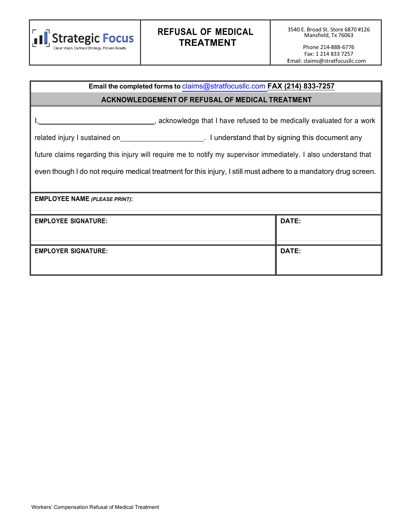

## **REFUSAL OF MEDICAL TREATMENT**

# **Email the completed forms to** claims@stratfocusllc.com **FAX (214) 833-7257**

#### **ACKNOWLEDGEMENT OF REFUSAL OF MEDICAL TREATMENT**

I, 1, 2008 and the medically evaluated for a work of the medically evaluated for a work

related injury I sustained on **No. 1. I understand that by signing this document any** 

future claims regarding this injury will require me to notify my supervisor immediately. I also understand that

even though I do not require medical treatment for this injury, I still must adhere to a mandatory drug screen.

**EMPLOYEE NAME** *(PLEASE PRINT)***:**

| <b>EMPLOYEE SIGNATURE:</b> | DATE:        |
|----------------------------|--------------|
| <b>EMPLOYER SIGNATURE:</b> | <b>DATE:</b> |